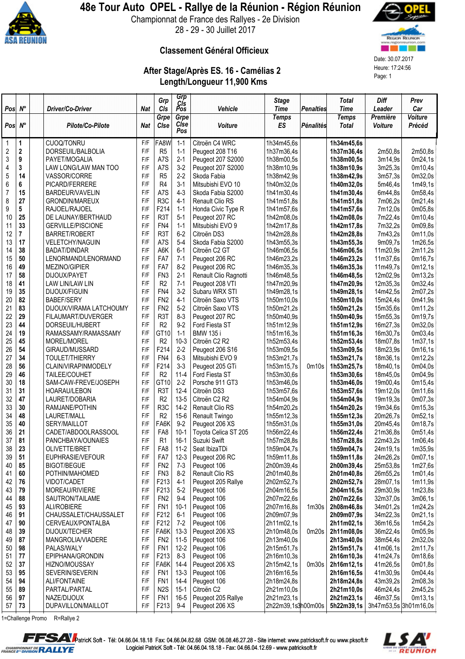

## 48e Tour Auto OPEL - Rallye de la Réunion - Région Réunion

Championnat de France des Rallyes - 2e Division 28 - 29 - 30 Juillet 2017



#### Classement Général Officieux

# After Stage/Après ES. 16 - Camélias 2 Heure: 17:24:56<br>
Length/Longueur 11,900 Kms<br>
Page: 1



| $Pos \, N^{\circ}$ |                         |                          | <b>Nat</b>              | Grp              | Grp<br>Cis<br>Pos |                       | <b>Stage</b>                |                   | <b>Total</b>                | <b>Diff</b>           | Prev<br>Car    |
|--------------------|-------------------------|--------------------------|-------------------------|------------------|-------------------|-----------------------|-----------------------------|-------------------|-----------------------------|-----------------------|----------------|
|                    |                         | Driver/Co-Driver         |                         | CIs<br>Grpe      | Grpe              | Vehicle               | <b>Time</b><br><b>Temps</b> | <b>Penalties</b>  | <b>Time</b><br><b>Temps</b> | Leader<br>Première    | <b>Voiture</b> |
| $Pos \, N^{\circ}$ |                         | Pilote/Co-Pilote         | <b>Nat</b>              | Cise             | Cise<br>Pos       | Voiture               | <b>ES</b>                   | <b>Pénalités</b>  | <b>Total</b>                | Voiture               | Précéd         |
| $\mathbf 1$        | 1                       | <b>CUOQ/TONRU</b>        | F/F                     | FA8W             | $1 - 1$           | Citroën C4 WRC        | 1h34m45,6s                  |                   | 1h34m45,6s                  |                       |                |
| $\sqrt{2}$         | $\mathbf 2$             | DORSEUIL/BALBOLIA        | F/F                     | R <sub>5</sub>   | $1 - 1$           | Peugeot 208 T16       | 1h37m36,4s                  |                   | 1h37m36,4s                  | 2m50,8s               | 2m50,8s        |
| 3                  | 9                       | PAYET/MOGALIA            | F/F                     | A7S              | $2 - 1$           | Peugeot 207 S2000     | 1h38m00,5s                  |                   | 1h38m00,5s                  | 3m14,9s               | 0m24,1s        |
| 4                  | 3                       | LAW LONG/LAW MAN TOO     | F/F                     | A7S              | $3-2$             | Peugeot 207 S2000     | 1h38m10,9s                  |                   | 1h38m10,9s                  | 3m25,3s               | 0m10,4s        |
| 5                  | 14                      | VASSOR/CORRE             | F/F                     | R <sub>5</sub>   | $2 - 2$           | Skoda Fabia           | 1h38m42,9s                  |                   | 1h38m42,9s                  | 3m57,3s               | 0m32,0s        |
| $\boldsymbol{6}$   | 6                       | PICARD/FERRERE           | F/F                     | R4               | $3-1$             | Mitsubishi EVO 10     | 1h40m32,0s                  |                   | 1h40m32,0s                  | 5m46,4s               | 1m49,1s        |
| $\overline{7}$     | 15                      | BARDEUR/VAVELIN          | F/F                     | A7S              | $4 - 3$           | Skoda Fabia S2000     | 1h41m30,4s                  |                   | 1h41m30,4s                  | 6m44,8s               | 0m58,4s        |
| 8                  | 27                      | <b>GRONDIN/MAREUX</b>    | F/F                     | R <sub>3</sub> C | $4 - 1$           | Renault Clio RS       | 1h41m51,8s                  |                   | 1h41m51,8s                  | 7m06,2s               | 0m21,4s        |
| 9                  | 5                       | RAJOEL/RAJOEL            | F/F                     | F214             | $1 - 1$           | Honda Civic Type R    | 1h41m57,6s                  |                   | 1h41m57,6s                  | 7m12,0s               | 0m05,8s        |
| 10                 | 25                      | DE LAUNAY/BERTHAUD       | F/F                     | R <sub>3</sub> T | $5-1$             | Peugeot 207 RC        | 1h42m08,0s                  |                   | 1h42m08,0s                  | 7m22,4s               | 0m10,4s        |
| 11                 | 33                      | <b>GERVILLE/PISCIONE</b> | F/F                     | FN4              | $1 - 1$           | Mitsubishi EVO 9      | 1h42m17,8s                  |                   | 1h42m17,8s                  | 7m32,2s               | 0m09,8s        |
| 12                 | $\overline{\mathbf{r}}$ | <b>BARRET/ROBERT</b>     | F/F                     | R <sub>3</sub> T | $6-2$             | Citroën DS3           | 1h42m28,8s                  |                   | 1h42m28,8s                  | 7m43,2s               | 0m11,0s        |
| 13                 | 17                      | <b>VELETCHY/NAGUIN</b>   | F/F                     | A7S              | $5-4$             | Skoda Fabia S2000     | 1h43m55,3s                  |                   | 1h43m55,3s                  | 9m09,7s               | 1m26,5s        |
| 14                 | 38                      | <b>BADAT/DINDAR</b>      | F/F                     | A6K              | $6 - 1$           | Citroën C2 GT         | 1h46m06,5s                  |                   | 1h46m06,5s                  | 11m20,9s              | 2m11,2s        |
| 15                 | 50                      | LENORMAND/LENORMAND      | F/F                     | FA7              | $7-1$             | Peugeot 206 RC        | 1h46m23,2s                  |                   | 1h46m23,2s                  | 11m37,6s              | 0m16,7s        |
| 16                 | 49                      | MEZINO/GIPIER            | F/F                     | FA7              | $8 - 2$           | Peugeot 206 RC        | 1h46m35,3s                  |                   | 1h46m35,3s                  | 11m49,7s              | 0m12,1s        |
| 17                 | 58                      | DIJOUX/PAYET             | F/F                     | FN <sub>3</sub>  | $2 - 1$           | Renault Clio Ragnotti | 1h46m48,5s                  |                   | 1h46m48,5s                  | 12m02,9s              | 0m13,2s        |
| 18                 | 41                      | LAW LIN/LAW LIN          | F/F                     | R <sub>2</sub>   | $7 - 1$           | Peugeot 208 VTI       | 1h47m20,9s                  |                   | 1h47m20,9s                  | 12m35,3s              | 0m32,4s        |
| 19                 | 35                      | DIJOUX/FIGUIN            | F/F                     | FN4              | $3-2$             | Subaru WRX STI        | 1h49m28,1s                  |                   | 1h49m28,1s                  | 14m42,5s              | 2m07,2s        |
| 20                 | 82                      | <b>BABEF/SERY</b>        | F/F                     | FN <sub>2</sub>  | $4 - 1$           | Citroën Saxo VTS      | 1h50m10,0s                  |                   | 1h50m10,0s                  | 15m24,4s              | 0m41,9s        |
| 21                 | 83                      | DIJOUX/VIRAMA LATCHOUMY  | F/F                     | FN <sub>2</sub>  | $5-2$             | Citroën Saxo VTS      | 1h50m21,2s                  |                   | 1h50m21,2s                  | 15m35,6s              | 0m11,2s        |
| 22                 | 29                      | FILAUMART/DUVERGER       | F/F                     | R <sub>3</sub> T | $8 - 3$           | Peugeot 207 RC        | 1h50m40,9s                  |                   | 1h50m40,9s                  | 15m55,3s              | 0m19,7s        |
| 23                 | 44                      | DORSEUIL/HUBERT          | F/F                     | R <sub>2</sub>   | $9-2$             | Ford Fiesta ST        | 1h51m12,9s                  |                   | 1h51m12,9s                  | 16m27,3s              | 0m32,0s        |
| 24                 | 19                      | RAMASSAMY/RAMASSAMY      | $\mathsf{F}/\mathsf{F}$ | GT <sub>10</sub> | $1 - 1$           | <b>BMW 135 i</b>      | 1h51m16,3s                  |                   | 1h51m16,3s                  | 16m30,7s              | 0m03,4s        |
| 25                 | 45                      | MOREL/MOREL              | F/F                     | R <sub>2</sub>   | $10-3$            | Citroën C2 R2         | 1h52m53,4s                  |                   | 1h52m53,4s                  | 18m07,8s              | 1m37,1s        |
| 26                 | 54                      | GIRAUD/MUSSARD           | F/F                     | F214             | $2 - 2$           | Peugeot 206 S16       | 1h53m09,5s                  |                   | 1h53m09,5s                  | 18m23,9s              | 0m16,1s        |
| 27                 | 34                      | <b>TOULET/THIERRY</b>    | F/F                     | FN4              | $6 - 3$           | Mitsubishi EVO 9      | 1h53m21,7s                  |                   | 1h53m21,7s                  | 18m36,1s              | 0m12,2s        |
| 28                 | 56                      | CLAIN/VIRAPINMODELY      | F/F                     | F214             | $3 - 3$           | Peugeot 205 GTi       | 1h53m15,7s                  | 0m10s             | 1h53m25,7s                  | 18m40,1s              | 0m04,0s        |
| 29                 | 46                      | TAILEE/COUHET            | F/F                     | R2               | $11 - 4$          | Ford Fiesta ST        | 1h53m30,6s                  |                   | 1h53m30,6s                  | 18m45,0s              | 0m04,9s        |
| 30                 | 18                      | SAM-CAW-FREVE/JOSEPH     | F/F                     | GT10             | $2 - 2$           | Porsche 911 GT3       | 1h53m46,0s                  |                   | 1h53m46,0s                  | 19m00,4s              | 0m15,4s        |
| 31                 | 31                      | HOARAU/LEBON             | F/F                     | R <sub>3</sub> T | $12 - 4$          | Citroën DS3           | 1h53m57,6s                  |                   | 1h53m57,6s                  | 19m12,0s              | 0m11,6s        |
| 32                 | 47                      | LAURET/DOBARIA           | F/F                     | R2               | $13 - 5$          | Citroën C2 R2         | 1h54m04,9s                  |                   | 1h54m04,9s                  | 19m19,3s              | 0m07,3s        |
| 33                 | 30                      | RAMJANE/POTHIN           | F/F                     | R <sub>3</sub> C | $14-2$            | Renault Clio RS       | 1h54m20,2s                  |                   | 1h54m20,2s                  | 19m34,6s              | 0m15,3s        |
| 34                 | 48                      | LAURET/MALL              | F/F                     | R <sub>2</sub>   | $15-6$            | Renault Twingo        | 1h55m12,3s                  |                   | 1h55m12,3s                  | 20m26,7s              | 0m52,1s        |
| 35                 | 40                      | SERY/MAILLOT             | F/F                     | FA6K             | $9 - 2$           | Peugeot 206 XS        | 1h55m31,0s                  |                   | 1h55m31,0s                  | 20m45,4s              | 0m18,7s        |
| 36                 | 21                      | CADET/ABDOOLRASSOOL      | F/F                     | FA8              | $10-1$            | Toyota Celica ST 205  | 1h56m22,4s                  |                   | 1h56m22,4s                  | 21m36,8s              | 0m51,4s        |
| 37                 | 81                      | PANCHBAYA/OUNAIES        | F/F                     | R1               | $16-1$            | Suzuki Swift          | 1h57m28,8s                  |                   | 1h57m28,8s                  | 22m43,2s              | 1m06,4s        |
| 38                 | 23                      | OLIVETTE/BRET            | F/F                     | FA8              | $11-2$            | Seat IbizaTDi         | 1h59m04,7s                  |                   | 1h59m04,7s                  | 24m19,1s              | 1m35,9s        |
| 39                 | 51                      | EUPHRASIE/VEFOUR         | F/F                     | FA7              | $12-3$            | Peugeot 206 RC        | 1h59m11,8s                  |                   | 1h59m11,8s                  | 24m26,2s              | 0m07,1s        |
| 40                 | 85                      | <b>BIGOT/BEGUE</b>       | F/F                     | FN <sub>2</sub>  | $7-3$             | Peugeot 106           | 2h00m39,4s                  |                   | 2h00m39,4s                  | 25m53,8s              | 1m27,6s        |
| 41                 | 60                      | POTHIN/MAHOMED           | F/F                     | FN <sub>3</sub>  | $8-2$             | Renault Clio RS       | 2h01m40,8s                  |                   | 2h01m40,8s                  | 26m55,2s              | 1m01,4s        |
| 42                 | 76                      | VIDOT/CADET              | F/F                     | F213             | $4-1$             | Peugeot 205 Rallye    | 2h02m52,7s                  |                   | 2h02m52,7s                  | 28m07,1s              | 1m11,9s        |
| 43                 | 79                      | MOREAU/RIVIERE           | F/F                     | F213             | $5-2$             | Peugeot 106           | 2h04m16,5s                  |                   | 2h04m16,5s                  | 29m30,9s              | 1m23,8s        |
| 44                 | 88                      | SAUTRON/TAILAME          | F/F                     | FN <sub>2</sub>  | $9-4$             | Peugeot 106           | 2h07m22,6s                  |                   | 2h07m22,6s                  | 32m37,0s              | 3m06,1s        |
| 45                 | 93                      | ALI/ROBIERE              | F/F                     | FN <sub>1</sub>  | $10-1$            | Peugeot 106           | 2h07m16,8s                  | 1 <sub>m30s</sub> | 2h08m46,8s                  | 34m01,2s              | 1m24,2s        |
| 46                 | 91                      | CHAUSSALET/CHAUSSALET    | F/F                     | F212             | $6 - 1$           | Peugeot 106           | 2h09m07,9s                  |                   | 2h09m07,9s                  | 34m22,3s              | 0m21,1s        |
| 47                 | 90                      | CERVEAUX/PONTALBA        | F/F                     | F212             | $7-2$             | Peugeot 106           | 2h11m02,1s                  |                   | 2h11m02,1s                  | 36m16,5s              | 1m54,2s        |
| 48                 | 39                      | DIJOUX/TECHER            | F/F                     | FA6K             | $13-3$            | Peugeot 206 XS        | 2h10m48,0s                  | 0m20s             | 2h11m08,0s                  | 36m22,4s              | 0m05,9s        |
| 49                 | 87                      | MANGROLIA/VIADERE        | F/F                     | FN <sub>2</sub>  | $11-5$            | Peugeot 106           | 2h13m40,0s                  |                   | 2h13m40,0s                  | 38m54,4s              | 2m32,0s        |
| 50                 | 98                      | PALAS/WALY               | F/F                     | FN <sub>1</sub>  | $12 - 2$          | Peugeot 106           | 2h15m51,7s                  |                   | 2h15m51,7s                  | 41m06,1s              | 2m11,7s        |
| 51                 | 77                      | EPIPHANA/GRONDIN         | F/F                     | F213             | $8 - 3$           | Peugeot 106           | 2h16m10,3s                  |                   | 2h16m10,3s                  | 41m24,7s              | 0m18,6s        |
| 52                 | 37                      | HIZNO/MOUSSAY            | F/F                     | FA6K             | $14 - 4$          | Peugeot 206 XS        | 2h15m42,1s                  | 0 <sub>m30s</sub> | 2h16m12,1s                  | 41m26,5s              | 0m01,8s        |
| 53                 | 95                      | SEVERIN/SEVERIN          | F/F                     | FN <sub>1</sub>  | $13-3$            | Peugeot 106           | 2h16m16,5s                  |                   | 2h16m16,5s                  | 41m30,9s              | 0m04,4s        |
| 54                 | 94                      | <b>ALI/FONTAINE</b>      | F/F                     | FN <sub>1</sub>  | $14 - 4$          | Peugeot 106           | 2h18m24,8s                  |                   | 2h18m24,8s                  | 43m39,2s              | 2m08,3s        |
| 55                 | 89                      | PARTAL/PARTAL            | F/F                     | N <sub>2</sub> S | $15-1$            | Citroën C2            | 2h21m10,0s                  |                   | 2h21m10,0s                  | 46m24,4s              | 2m45,2s        |
| 56                 | 97                      | NAZE/DIJOUX              | F/F                     | FN <sub>1</sub>  | $16 - 5$          | Peugeot 205 Rallye    | 2h21m23,1s                  |                   | 2h21m23,1s                  | 46m37,5s              | 0m13,1s        |
| 57                 | 73                      | DUPAVILLON/MAILLOT       | F/F                     | F213             | $9-4$             | Peugeot 206 XS        | 2h22m39,1s3h00m00s          |                   | 5h22m39,1s                  | 3h47m53,5s 3h01m16,0s |                |

1=Challenge Promo R=Rallye 2